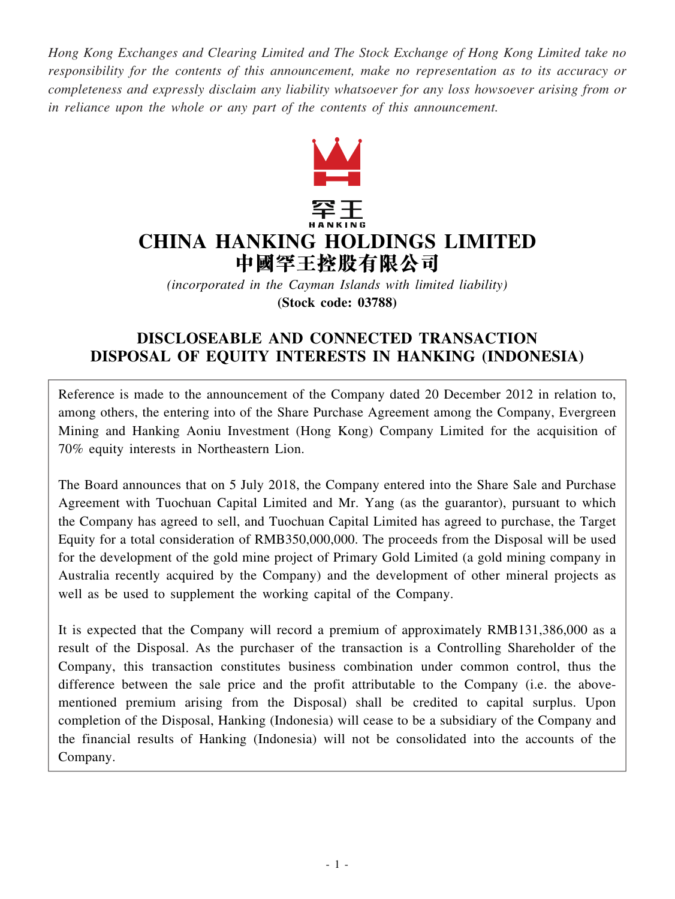*Hong Kong Exchanges and Clearing Limited and The Stock Exchange of Hong Kong Limited take no responsibility for the contents of this announcement, make no representation as to its accuracy or completeness and expressly disclaim any liability whatsoever for any loss howsoever arising from or in reliance upon the whole or any part of the contents of this announcement.*



*(incorporated in the Cayman Islands with limited liability)* **(Stock code: 03788)**

# **DISCLOSEABLE AND CONNECTED TRANSACTION DISPOSAL OF EQUITY INTERESTS IN HANKING (INDONESIA)**

Reference is made to the announcement of the Company dated 20 December 2012 in relation to, among others, the entering into of the Share Purchase Agreement among the Company, Evergreen Mining and Hanking Aoniu Investment (Hong Kong) Company Limited for the acquisition of 70% equity interests in Northeastern Lion.

The Board announces that on 5 July 2018, the Company entered into the Share Sale and Purchase Agreement with Tuochuan Capital Limited and Mr. Yang (as the guarantor), pursuant to which the Company has agreed to sell, and Tuochuan Capital Limited has agreed to purchase, the Target Equity for a total consideration of RMB350,000,000. The proceeds from the Disposal will be used for the development of the gold mine project of Primary Gold Limited (a gold mining company in Australia recently acquired by the Company) and the development of other mineral projects as well as be used to supplement the working capital of the Company.

It is expected that the Company will record a premium of approximately RMB131,386,000 as a result of the Disposal. As the purchaser of the transaction is a Controlling Shareholder of the Company, this transaction constitutes business combination under common control, thus the difference between the sale price and the profit attributable to the Company (i.e. the abovementioned premium arising from the Disposal) shall be credited to capital surplus. Upon completion of the Disposal, Hanking (Indonesia) will cease to be a subsidiary of the Company and the financial results of Hanking (Indonesia) will not be consolidated into the accounts of the Company.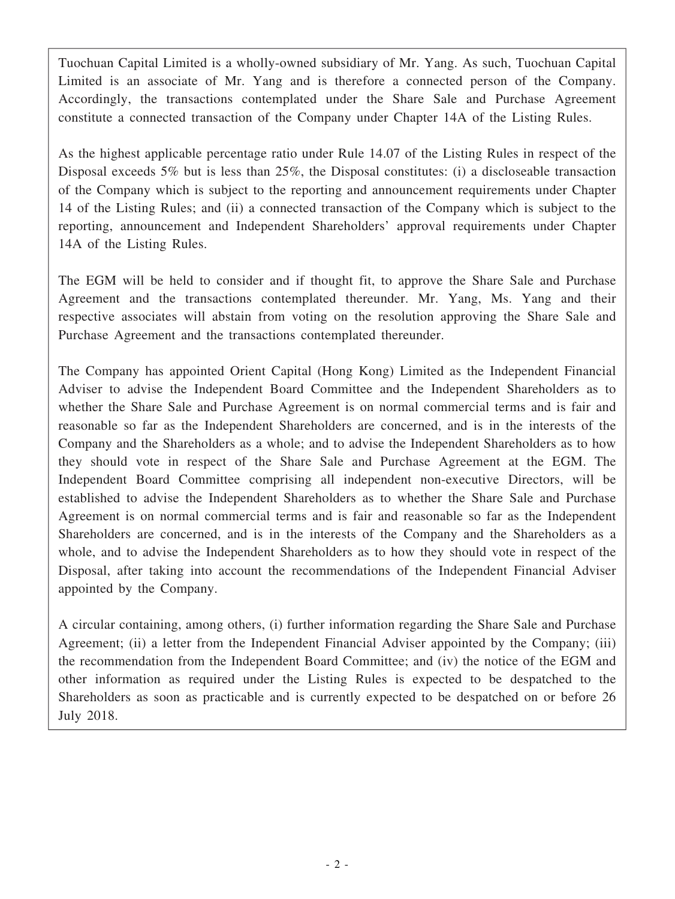Tuochuan Capital Limited is a wholly-owned subsidiary of Mr. Yang. As such, Tuochuan Capital Limited is an associate of Mr. Yang and is therefore a connected person of the Company. Accordingly, the transactions contemplated under the Share Sale and Purchase Agreement constitute a connected transaction of the Company under Chapter 14A of the Listing Rules.

As the highest applicable percentage ratio under Rule 14.07 of the Listing Rules in respect of the Disposal exceeds 5% but is less than 25%, the Disposal constitutes: (i) a discloseable transaction of the Company which is subject to the reporting and announcement requirements under Chapter 14 of the Listing Rules; and (ii) a connected transaction of the Company which is subject to the reporting, announcement and Independent Shareholders' approval requirements under Chapter 14A of the Listing Rules.

The EGM will be held to consider and if thought fit, to approve the Share Sale and Purchase Agreement and the transactions contemplated thereunder. Mr. Yang, Ms. Yang and their respective associates will abstain from voting on the resolution approving the Share Sale and Purchase Agreement and the transactions contemplated thereunder.

The Company has appointed Orient Capital (Hong Kong) Limited as the Independent Financial Adviser to advise the Independent Board Committee and the Independent Shareholders as to whether the Share Sale and Purchase Agreement is on normal commercial terms and is fair and reasonable so far as the Independent Shareholders are concerned, and is in the interests of the Company and the Shareholders as a whole; and to advise the Independent Shareholders as to how they should vote in respect of the Share Sale and Purchase Agreement at the EGM. The Independent Board Committee comprising all independent non-executive Directors, will be established to advise the Independent Shareholders as to whether the Share Sale and Purchase Agreement is on normal commercial terms and is fair and reasonable so far as the Independent Shareholders are concerned, and is in the interests of the Company and the Shareholders as a whole, and to advise the Independent Shareholders as to how they should vote in respect of the Disposal, after taking into account the recommendations of the Independent Financial Adviser appointed by the Company.

A circular containing, among others, (i) further information regarding the Share Sale and Purchase Agreement; (ii) a letter from the Independent Financial Adviser appointed by the Company; (iii) the recommendation from the Independent Board Committee; and (iv) the notice of the EGM and other information as required under the Listing Rules is expected to be despatched to the Shareholders as soon as practicable and is currently expected to be despatched on or before 26 July 2018.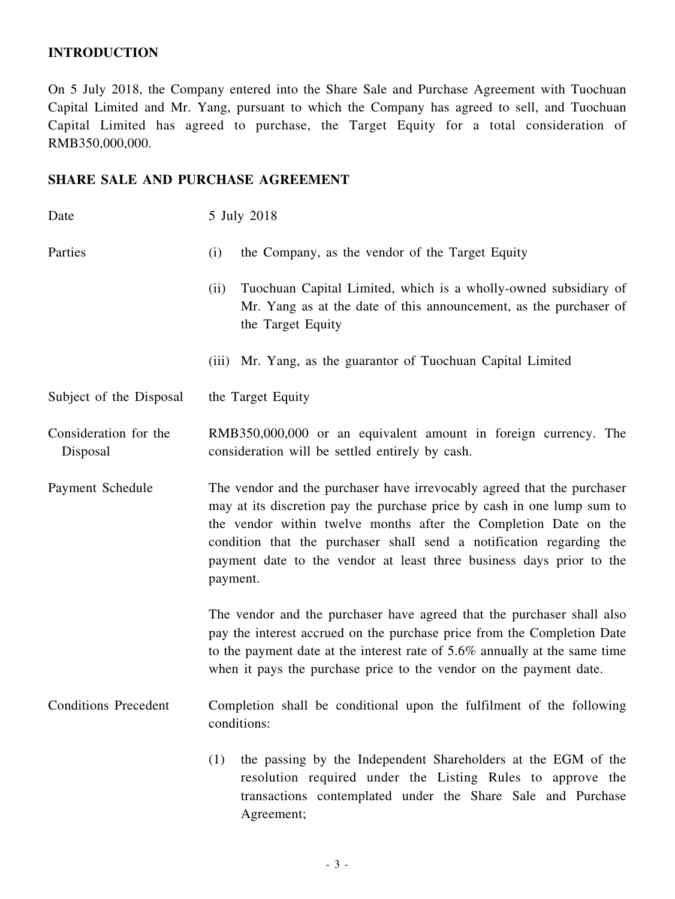# **INTRODUCTION**

On 5 July 2018, the Company entered into the Share Sale and Purchase Agreement with Tuochuan Capital Limited and Mr. Yang, pursuant to which the Company has agreed to sell, and Tuochuan Capital Limited has agreed to purchase, the Target Equity for a total consideration of RMB350,000,000.

# **SHARE SALE AND PURCHASE AGREEMENT**

| Date                              | 5 July 2018                                                                                                                                                                                                                                                                                                                                                                        |  |  |
|-----------------------------------|------------------------------------------------------------------------------------------------------------------------------------------------------------------------------------------------------------------------------------------------------------------------------------------------------------------------------------------------------------------------------------|--|--|
| Parties                           | (i)<br>the Company, as the vendor of the Target Equity                                                                                                                                                                                                                                                                                                                             |  |  |
|                                   | Tuochuan Capital Limited, which is a wholly-owned subsidiary of<br>(ii)<br>Mr. Yang as at the date of this announcement, as the purchaser of<br>the Target Equity                                                                                                                                                                                                                  |  |  |
|                                   | (iii) Mr. Yang, as the guarantor of Tuochuan Capital Limited                                                                                                                                                                                                                                                                                                                       |  |  |
| Subject of the Disposal           | the Target Equity                                                                                                                                                                                                                                                                                                                                                                  |  |  |
| Consideration for the<br>Disposal | RMB350,000,000 or an equivalent amount in foreign currency. The<br>consideration will be settled entirely by cash.                                                                                                                                                                                                                                                                 |  |  |
| Payment Schedule                  | The vendor and the purchaser have irrevocably agreed that the purchaser<br>may at its discretion pay the purchase price by cash in one lump sum to<br>the vendor within twelve months after the Completion Date on the<br>condition that the purchaser shall send a notification regarding the<br>payment date to the vendor at least three business days prior to the<br>payment. |  |  |
|                                   | The vendor and the purchaser have agreed that the purchaser shall also<br>pay the interest accrued on the purchase price from the Completion Date<br>to the payment date at the interest rate of 5.6% annually at the same time<br>when it pays the purchase price to the vendor on the payment date.                                                                              |  |  |
| <b>Conditions Precedent</b>       | Completion shall be conditional upon the fulfilment of the following<br>conditions:                                                                                                                                                                                                                                                                                                |  |  |
|                                   | the passing by the Independent Shareholders at the EGM of the<br>(1)<br>resolution required under the Listing Rules to approve the<br>transactions contemplated under the Share Sale and Purchase<br>Agreement;                                                                                                                                                                    |  |  |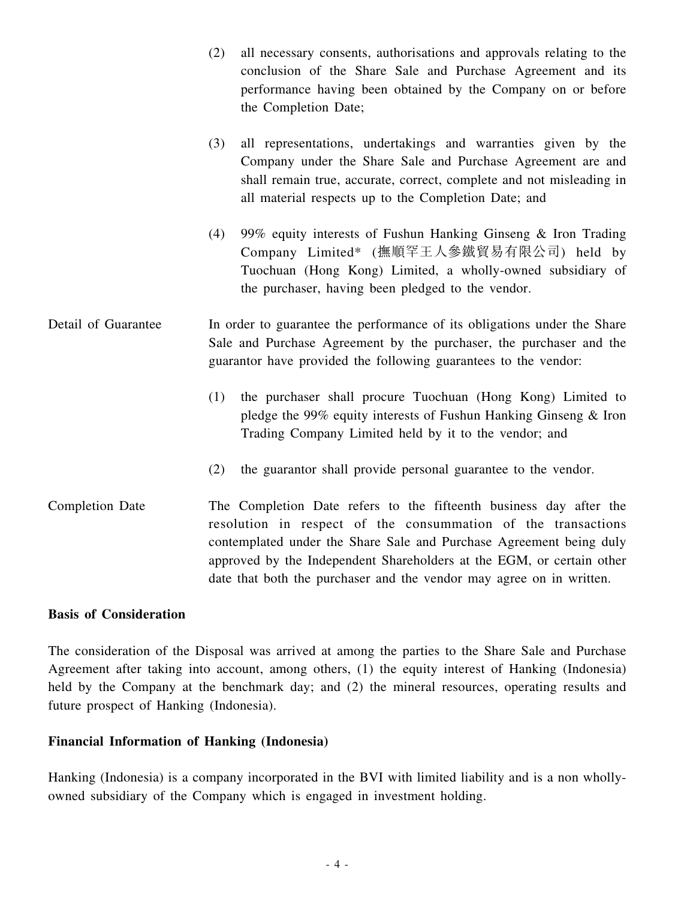|                        | (2) | all necessary consents, authorisations and approvals relating to the<br>conclusion of the Share Sale and Purchase Agreement and its<br>performance having been obtained by the Company on or before<br>the Completion Date;                                                         |
|------------------------|-----|-------------------------------------------------------------------------------------------------------------------------------------------------------------------------------------------------------------------------------------------------------------------------------------|
|                        | (3) | all representations, undertakings and warranties given by the<br>Company under the Share Sale and Purchase Agreement are and<br>shall remain true, accurate, correct, complete and not misleading in<br>all material respects up to the Completion Date; and                        |
|                        | (4) | 99% equity interests of Fushun Hanking Ginseng & Iron Trading<br>Company Limited* (撫順罕王人參鐵貿易有限公司) held by<br>Tuochuan (Hong Kong) Limited, a wholly-owned subsidiary of<br>the purchaser, having been pledged to the vendor.                                                        |
| Detail of Guarantee    |     | In order to guarantee the performance of its obligations under the Share<br>Sale and Purchase Agreement by the purchaser, the purchaser and the<br>guarantor have provided the following guarantees to the vendor:                                                                  |
|                        | (1) | the purchaser shall procure Tuochuan (Hong Kong) Limited to<br>pledge the 99% equity interests of Fushun Hanking Ginseng $&$ Iron<br>Trading Company Limited held by it to the vendor; and                                                                                          |
|                        | (2) | the guarantor shall provide personal guarantee to the vendor.                                                                                                                                                                                                                       |
| <b>Completion Date</b> |     | The Completion Date refers to the fifteenth business day after the<br>resolution in respect of the consummation of the transactions<br>contemplated under the Share Sale and Purchase Agreement being duly<br>approved by the Independent Shareholders at the EGM, or certain other |

#### **Basis of Consideration**

The consideration of the Disposal was arrived at among the parties to the Share Sale and Purchase Agreement after taking into account, among others, (1) the equity interest of Hanking (Indonesia) held by the Company at the benchmark day; and (2) the mineral resources, operating results and future prospect of Hanking (Indonesia).

date that both the purchaser and the vendor may agree on in written.

## **Financial Information of Hanking (Indonesia)**

Hanking (Indonesia) is a company incorporated in the BVI with limited liability and is a non whollyowned subsidiary of the Company which is engaged in investment holding.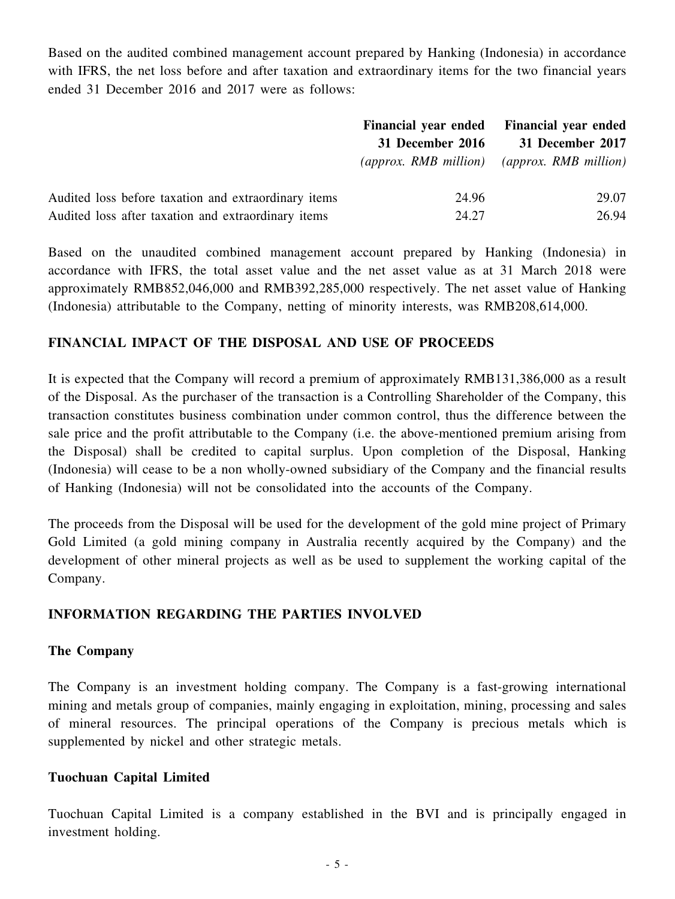Based on the audited combined management account prepared by Hanking (Indonesia) in accordance with IFRS, the net loss before and after taxation and extraordinary items for the two financial years ended 31 December 2016 and 2017 were as follows:

|                                                      | <b>Financial year ended</b>             | <b>Financial year ended</b>    |
|------------------------------------------------------|-----------------------------------------|--------------------------------|
|                                                      | 31 December 2016                        | 31 December 2017               |
|                                                      | $\langle$ approx. RMB million $\rangle$ | $\langle$ approx. RMB million) |
| Audited loss before taxation and extraordinary items | 24.96                                   | 29.07                          |
| Audited loss after taxation and extraordinary items  | 24.27                                   | 26.94                          |

Based on the unaudited combined management account prepared by Hanking (Indonesia) in accordance with IFRS, the total asset value and the net asset value as at 31 March 2018 were approximately RMB852,046,000 and RMB392,285,000 respectively. The net asset value of Hanking (Indonesia) attributable to the Company, netting of minority interests, was RMB208,614,000.

# **FINANCIAL IMPACT OF THE DISPOSAL AND USE OF PROCEEDS**

It is expected that the Company will record a premium of approximately RMB131,386,000 as a result of the Disposal. As the purchaser of the transaction is a Controlling Shareholder of the Company, this transaction constitutes business combination under common control, thus the difference between the sale price and the profit attributable to the Company (i.e. the above-mentioned premium arising from the Disposal) shall be credited to capital surplus. Upon completion of the Disposal, Hanking (Indonesia) will cease to be a non wholly-owned subsidiary of the Company and the financial results of Hanking (Indonesia) will not be consolidated into the accounts of the Company.

The proceeds from the Disposal will be used for the development of the gold mine project of Primary Gold Limited (a gold mining company in Australia recently acquired by the Company) and the development of other mineral projects as well as be used to supplement the working capital of the Company.

# **INFORMATION REGARDING THE PARTIES INVOLVED**

#### **The Company**

The Company is an investment holding company. The Company is a fast-growing international mining and metals group of companies, mainly engaging in exploitation, mining, processing and sales of mineral resources. The principal operations of the Company is precious metals which is supplemented by nickel and other strategic metals.

#### **Tuochuan Capital Limited**

Tuochuan Capital Limited is a company established in the BVI and is principally engaged in investment holding.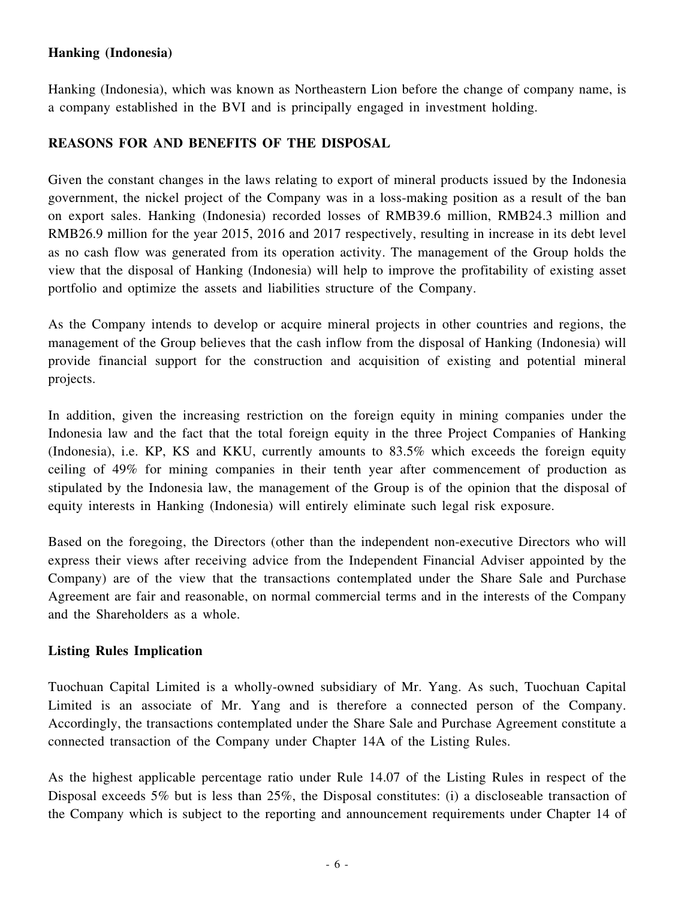# **Hanking (Indonesia)**

Hanking (Indonesia), which was known as Northeastern Lion before the change of company name, is a company established in the BVI and is principally engaged in investment holding.

# **REASONS FOR AND BENEFITS OF THE DISPOSAL**

Given the constant changes in the laws relating to export of mineral products issued by the Indonesia government, the nickel project of the Company was in a loss-making position as a result of the ban on export sales. Hanking (Indonesia) recorded losses of RMB39.6 million, RMB24.3 million and RMB26.9 million for the year 2015, 2016 and 2017 respectively, resulting in increase in its debt level as no cash flow was generated from its operation activity. The management of the Group holds the view that the disposal of Hanking (Indonesia) will help to improve the profitability of existing asset portfolio and optimize the assets and liabilities structure of the Company.

As the Company intends to develop or acquire mineral projects in other countries and regions, the management of the Group believes that the cash inflow from the disposal of Hanking (Indonesia) will provide financial support for the construction and acquisition of existing and potential mineral projects.

In addition, given the increasing restriction on the foreign equity in mining companies under the Indonesia law and the fact that the total foreign equity in the three Project Companies of Hanking (Indonesia), i.e. KP, KS and KKU, currently amounts to 83.5% which exceeds the foreign equity ceiling of 49% for mining companies in their tenth year after commencement of production as stipulated by the Indonesia law, the management of the Group is of the opinion that the disposal of equity interests in Hanking (Indonesia) will entirely eliminate such legal risk exposure.

Based on the foregoing, the Directors (other than the independent non-executive Directors who will express their views after receiving advice from the Independent Financial Adviser appointed by the Company) are of the view that the transactions contemplated under the Share Sale and Purchase Agreement are fair and reasonable, on normal commercial terms and in the interests of the Company and the Shareholders as a whole.

# **Listing Rules Implication**

Tuochuan Capital Limited is a wholly-owned subsidiary of Mr. Yang. As such, Tuochuan Capital Limited is an associate of Mr. Yang and is therefore a connected person of the Company. Accordingly, the transactions contemplated under the Share Sale and Purchase Agreement constitute a connected transaction of the Company under Chapter 14A of the Listing Rules.

As the highest applicable percentage ratio under Rule 14.07 of the Listing Rules in respect of the Disposal exceeds 5% but is less than 25%, the Disposal constitutes: (i) a discloseable transaction of the Company which is subject to the reporting and announcement requirements under Chapter 14 of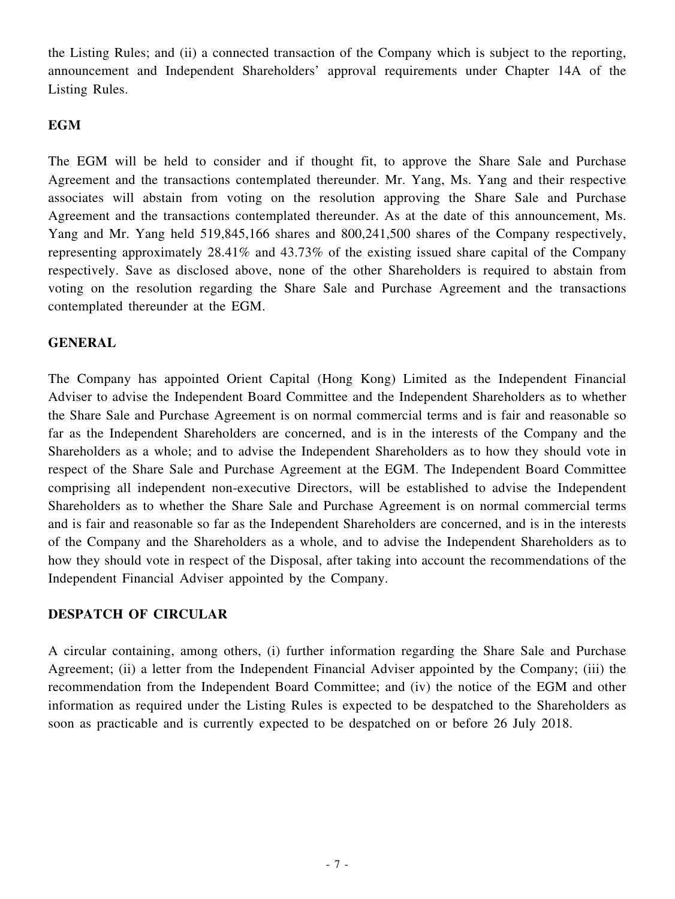the Listing Rules; and (ii) a connected transaction of the Company which is subject to the reporting, announcement and Independent Shareholders' approval requirements under Chapter 14A of the Listing Rules.

## **EGM**

The EGM will be held to consider and if thought fit, to approve the Share Sale and Purchase Agreement and the transactions contemplated thereunder. Mr. Yang, Ms. Yang and their respective associates will abstain from voting on the resolution approving the Share Sale and Purchase Agreement and the transactions contemplated thereunder. As at the date of this announcement, Ms. Yang and Mr. Yang held 519,845,166 shares and 800,241,500 shares of the Company respectively, representing approximately 28.41% and 43.73% of the existing issued share capital of the Company respectively. Save as disclosed above, none of the other Shareholders is required to abstain from voting on the resolution regarding the Share Sale and Purchase Agreement and the transactions contemplated thereunder at the EGM.

### **GENERAL**

The Company has appointed Orient Capital (Hong Kong) Limited as the Independent Financial Adviser to advise the Independent Board Committee and the Independent Shareholders as to whether the Share Sale and Purchase Agreement is on normal commercial terms and is fair and reasonable so far as the Independent Shareholders are concerned, and is in the interests of the Company and the Shareholders as a whole; and to advise the Independent Shareholders as to how they should vote in respect of the Share Sale and Purchase Agreement at the EGM. The Independent Board Committee comprising all independent non-executive Directors, will be established to advise the Independent Shareholders as to whether the Share Sale and Purchase Agreement is on normal commercial terms and is fair and reasonable so far as the Independent Shareholders are concerned, and is in the interests of the Company and the Shareholders as a whole, and to advise the Independent Shareholders as to how they should vote in respect of the Disposal, after taking into account the recommendations of the Independent Financial Adviser appointed by the Company.

# **DESPATCH OF CIRCULAR**

A circular containing, among others, (i) further information regarding the Share Sale and Purchase Agreement; (ii) a letter from the Independent Financial Adviser appointed by the Company; (iii) the recommendation from the Independent Board Committee; and (iv) the notice of the EGM and other information as required under the Listing Rules is expected to be despatched to the Shareholders as soon as practicable and is currently expected to be despatched on or before 26 July 2018.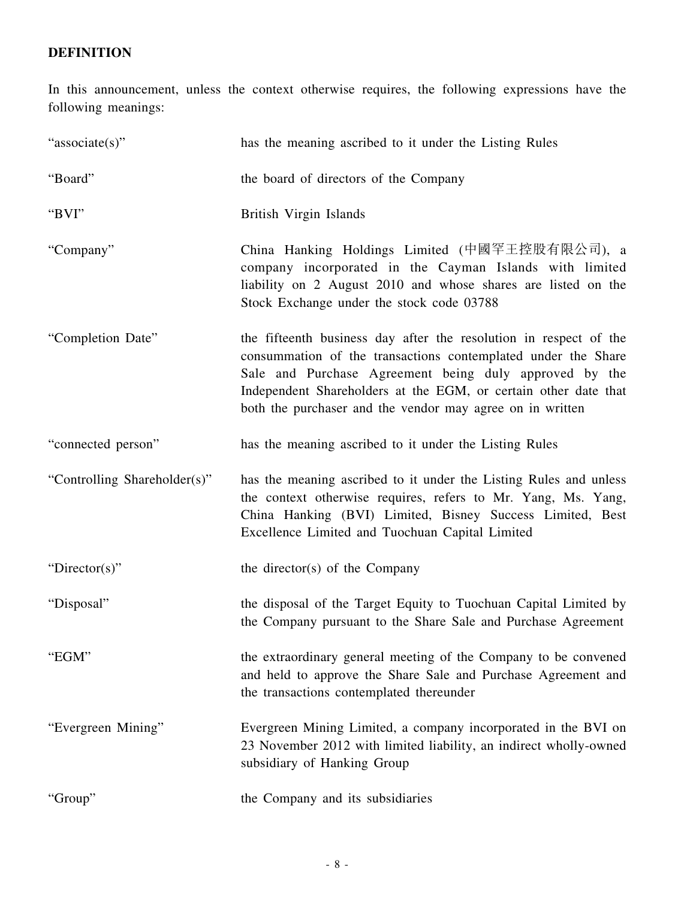# **DEFINITION**

In this announcement, unless the context otherwise requires, the following expressions have the following meanings:

| "associate(s)"               | has the meaning ascribed to it under the Listing Rules                                                                                                                                                                                                                                                                       |
|------------------------------|------------------------------------------------------------------------------------------------------------------------------------------------------------------------------------------------------------------------------------------------------------------------------------------------------------------------------|
| "Board"                      | the board of directors of the Company                                                                                                                                                                                                                                                                                        |
| "BVI"                        | British Virgin Islands                                                                                                                                                                                                                                                                                                       |
| "Company"                    | China Hanking Holdings Limited (中國罕王控股有限公司), a<br>company incorporated in the Cayman Islands with limited<br>liability on 2 August 2010 and whose shares are listed on the<br>Stock Exchange under the stock code 03788                                                                                                      |
| "Completion Date"            | the fifteenth business day after the resolution in respect of the<br>consummation of the transactions contemplated under the Share<br>Sale and Purchase Agreement being duly approved by the<br>Independent Shareholders at the EGM, or certain other date that<br>both the purchaser and the vendor may agree on in written |
| "connected person"           | has the meaning ascribed to it under the Listing Rules                                                                                                                                                                                                                                                                       |
| "Controlling Shareholder(s)" | has the meaning ascribed to it under the Listing Rules and unless<br>the context otherwise requires, refers to Mr. Yang, Ms. Yang,<br>China Hanking (BVI) Limited, Bisney Success Limited, Best<br>Excellence Limited and Tuochuan Capital Limited                                                                           |
| "Director(s)"                | the director(s) of the Company                                                                                                                                                                                                                                                                                               |
| "Disposal"                   | the disposal of the Target Equity to Tuochuan Capital Limited by<br>the Company pursuant to the Share Sale and Purchase Agreement                                                                                                                                                                                            |
| "EGM"                        | the extraordinary general meeting of the Company to be convened<br>and held to approve the Share Sale and Purchase Agreement and<br>the transactions contemplated thereunder                                                                                                                                                 |
| "Evergreen Mining"           | Evergreen Mining Limited, a company incorporated in the BVI on<br>23 November 2012 with limited liability, an indirect wholly-owned<br>subsidiary of Hanking Group                                                                                                                                                           |
| "Group"                      | the Company and its subsidiaries                                                                                                                                                                                                                                                                                             |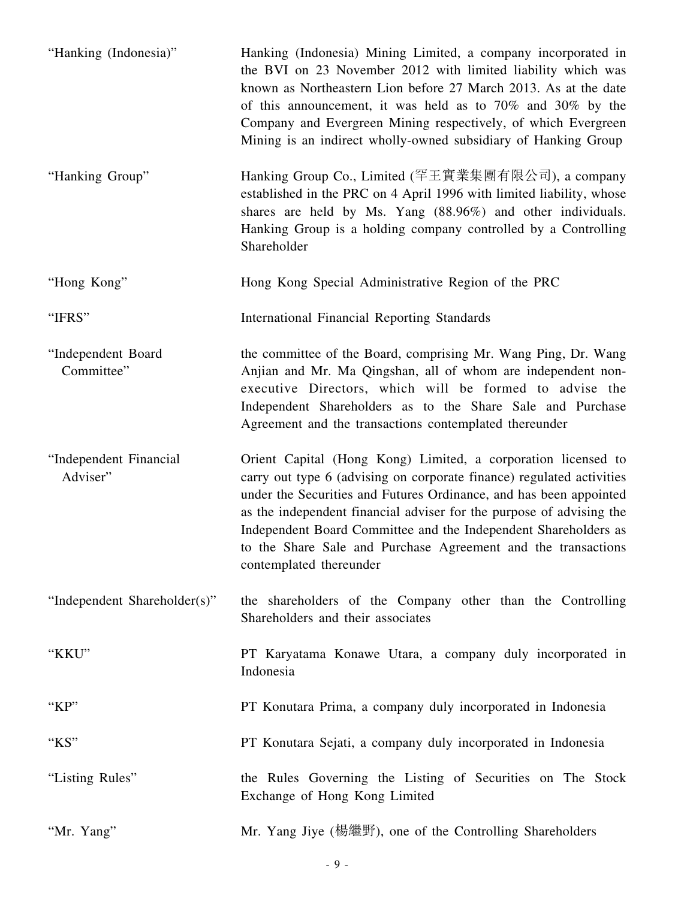| "Hanking (Indonesia)"              | Hanking (Indonesia) Mining Limited, a company incorporated in<br>the BVI on 23 November 2012 with limited liability which was<br>known as Northeastern Lion before 27 March 2013. As at the date<br>of this announcement, it was held as to 70% and 30% by the<br>Company and Evergreen Mining respectively, of which Evergreen<br>Mining is an indirect wholly-owned subsidiary of Hanking Group                                                   |
|------------------------------------|-----------------------------------------------------------------------------------------------------------------------------------------------------------------------------------------------------------------------------------------------------------------------------------------------------------------------------------------------------------------------------------------------------------------------------------------------------|
| "Hanking Group"                    | Hanking Group Co., Limited (罕王實業集團有限公司), a company<br>established in the PRC on 4 April 1996 with limited liability, whose<br>shares are held by Ms. Yang (88.96%) and other individuals.<br>Hanking Group is a holding company controlled by a Controlling<br>Shareholder                                                                                                                                                                          |
| "Hong Kong"                        | Hong Kong Special Administrative Region of the PRC                                                                                                                                                                                                                                                                                                                                                                                                  |
| "IFRS"                             | <b>International Financial Reporting Standards</b>                                                                                                                                                                                                                                                                                                                                                                                                  |
| "Independent Board<br>Committee"   | the committee of the Board, comprising Mr. Wang Ping, Dr. Wang<br>Anjian and Mr. Ma Qingshan, all of whom are independent non-<br>executive Directors, which will be formed to advise the<br>Independent Shareholders as to the Share Sale and Purchase<br>Agreement and the transactions contemplated thereunder                                                                                                                                   |
| "Independent Financial<br>Adviser" | Orient Capital (Hong Kong) Limited, a corporation licensed to<br>carry out type 6 (advising on corporate finance) regulated activities<br>under the Securities and Futures Ordinance, and has been appointed<br>as the independent financial adviser for the purpose of advising the<br>Independent Board Committee and the Independent Shareholders as<br>to the Share Sale and Purchase Agreement and the transactions<br>contemplated thereunder |
| "Independent Shareholder(s)"       | the shareholders of the Company other than the Controlling<br>Shareholders and their associates                                                                                                                                                                                                                                                                                                                                                     |
| "KKU"                              | PT Karyatama Konawe Utara, a company duly incorporated in<br>Indonesia                                                                                                                                                                                                                                                                                                                                                                              |
| "KP"                               | PT Konutara Prima, a company duly incorporated in Indonesia                                                                                                                                                                                                                                                                                                                                                                                         |
| "KS"                               | PT Konutara Sejati, a company duly incorporated in Indonesia                                                                                                                                                                                                                                                                                                                                                                                        |
| "Listing Rules"                    | the Rules Governing the Listing of Securities on The Stock<br>Exchange of Hong Kong Limited                                                                                                                                                                                                                                                                                                                                                         |
| "Mr. Yang"                         | Mr. Yang Jiye (楊繼野), one of the Controlling Shareholders                                                                                                                                                                                                                                                                                                                                                                                            |